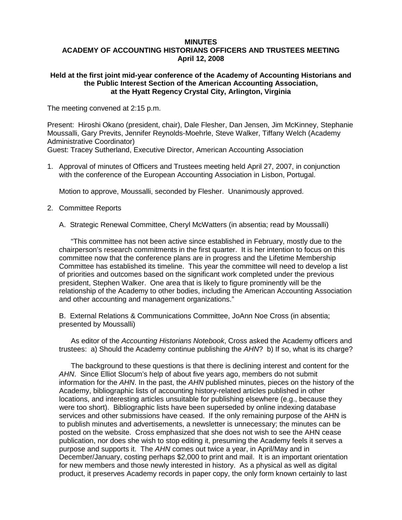## **MINUTES ACADEMY OF ACCOUNTING HISTORIANS OFFICERS AND TRUSTEES MEETING April 12, 2008**

## **Held at the first joint mid-year conference of the Academy of Accounting Historians and the Public Interest Section of the American Accounting Association, at the Hyatt Regency Crystal City, Arlington, Virginia**

The meeting convened at 2:15 p.m.

Present: Hiroshi Okano (president, chair), Dale Flesher, Dan Jensen, Jim McKinney, Stephanie Moussalli, Gary Previts, Jennifer Reynolds-Moehrle, Steve Walker, Tiffany Welch (Academy Administrative Coordinator)

Guest: Tracey Sutherland, Executive Director, American Accounting Association

1. Approval of minutes of Officers and Trustees meeting held April 27, 2007, in conjunction with the conference of the European Accounting Association in Lisbon, Portugal.

Motion to approve, Moussalli, seconded by Flesher. Unanimously approved.

- 2. Committee Reports
	- A. Strategic Renewal Committee, Cheryl McWatters (in absentia; read by Moussalli)

 "This committee has not been active since established in February, mostly due to the chairperson's research commitments in the first quarter. It is her intention to focus on this committee now that the conference plans are in progress and the Lifetime Membership Committee has established its timeline. This year the committee will need to develop a list of priorities and outcomes based on the significant work completed under the previous president, Stephen Walker. One area that is likely to figure prominently will be the relationship of the Academy to other bodies, including the American Accounting Association and other accounting and management organizations."

B. External Relations & Communications Committee, JoAnn Noe Cross (in absentia; presented by Moussalli)

As editor of the *Accounting Historians Notebook*, Cross asked the Academy officers and trustees: a) Should the Academy continue publishing the *AHN*? b) If so, what is its charge?

The background to these questions is that there is declining interest and content for the *AHN*. Since Elliot Slocum's help of about five years ago, members do not submit information for the *AHN*. In the past, the *AHN* published minutes, pieces on the history of the Academy, bibliographic lists of accounting history-related articles published in other locations, and interesting articles unsuitable for publishing elsewhere (e.g., because they were too short). Bibliographic lists have been superseded by online indexing database services and other submissions have ceased. If the only remaining purpose of the AHN is to publish minutes and advertisements, a newsletter is unnecessary; the minutes can be posted on the website. Cross emphasized that she does not wish to see the AHN cease publication, nor does she wish to stop editing it, presuming the Academy feels it serves a purpose and supports it. The *AHN* comes out twice a year, in April/May and in December/January, costing perhaps \$2,000 to print and mail. It is an important orientation for new members and those newly interested in history. As a physical as well as digital product, it preserves Academy records in paper copy, the only form known certainly to last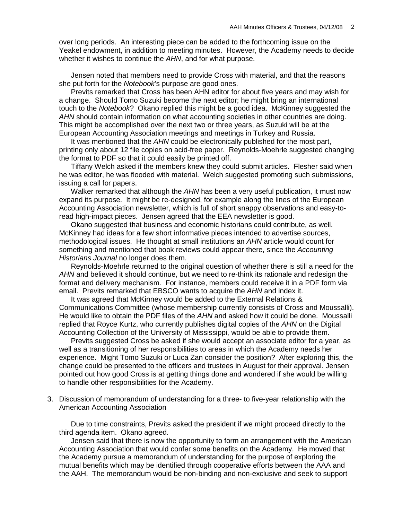over long periods. An interesting piece can be added to the forthcoming issue on the Yeakel endowment, in addition to meeting minutes. However, the Academy needs to decide whether it wishes to continue the *AHN*, and for what purpose.

Jensen noted that members need to provide Cross with material, and that the reasons she put forth for the *Notebook*'s purpose are good ones.

Previts remarked that Cross has been AHN editor for about five years and may wish for a change. Should Tomo Suzuki become the next editor; he might bring an international touch to the *Notebook*? Okano replied this might be a good idea. McKinney suggested the *AHN* should contain information on what accounting societies in other countries are doing. This might be accomplished over the next two or three years, as Suzuki will be at the European Accounting Association meetings and meetings in Turkey and Russia.

It was mentioned that the *AHN* could be electronically published for the most part, printing only about 12 file copies on acid-free paper. Reynolds-Moehrle suggested changing the format to PDF so that it could easily be printed off.

Tiffany Welch asked if the members knew they could submit articles. Flesher said when he was editor, he was flooded with material. Welch suggested promoting such submissions, issuing a call for papers.

Walker remarked that although the *AHN* has been a very useful publication, it must now expand its purpose. It might be re-designed, for example along the lines of the European Accounting Association newsletter, which is full of short snappy observations and easy-toread high-impact pieces. Jensen agreed that the EEA newsletter is good.

Okano suggested that business and economic historians could contribute, as well. McKinney had ideas for a few short informative pieces intended to advertise sources, methodological issues. He thought at small institutions an *AHN* article would count for something and mentioned that book reviews could appear there, since the *Accounting Historians Journal* no longer does them.

Reynolds-Moehrle returned to the original question of whether there is still a need for the *AHN* and believed it should continue, but we need to re-think its rationale and redesign the format and delivery mechanism. For instance, members could receive it in a PDF form via email. Previts remarked that EBSCO wants to acquire the *AHN* and index it.

It was agreed that McKinney would be added to the External Relations & Communications Committee (whose membership currently consists of Cross and Moussalli). He would like to obtain the PDF files of the *AHN* and asked how it could be done. Moussalli replied that Royce Kurtz, who currently publishes digital copies of the *AHN* on the Digital Accounting Collection of the University of Mississippi, would be able to provide them.

Previts suggested Cross be asked if she would accept an associate editor for a year, as well as a transitioning of her responsibilities to areas in which the Academy needs her experience. Might Tomo Suzuki or Luca Zan consider the position? After exploring this, the change could be presented to the officers and trustees in August for their approval. Jensen pointed out how good Cross is at getting things done and wondered if she would be willing to handle other responsibilities for the Academy.

3. Discussion of memorandum of understanding for a three- to five-year relationship with the American Accounting Association

Due to time constraints, Previts asked the president if we might proceed directly to the third agenda item. Okano agreed.

Jensen said that there is now the opportunity to form an arrangement with the American Accounting Association that would confer some benefits on the Academy. He moved that the Academy pursue a memorandum of understanding for the purpose of exploring the mutual benefits which may be identified through cooperative efforts between the AAA and the AAH. The memorandum would be non-binding and non-exclusive and seek to support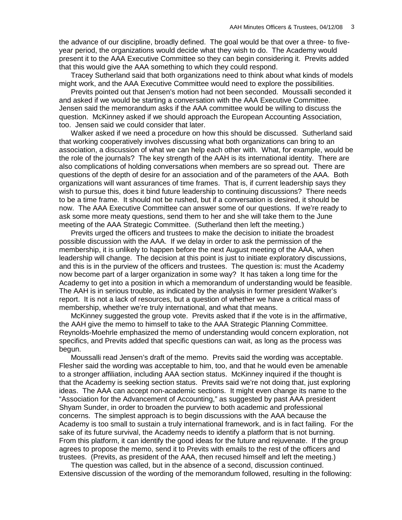the advance of our discipline, broadly defined. The goal would be that over a three- to fiveyear period, the organizations would decide what they wish to do. The Academy would present it to the AAA Executive Committee so they can begin considering it. Previts added that this would give the AAA something to which they could respond.

Tracey Sutherland said that both organizations need to think about what kinds of models might work, and the AAA Executive Committee would need to explore the possibilities.

Previts pointed out that Jensen's motion had not been seconded. Moussalli seconded it and asked if we would be starting a conversation with the AAA Executive Committee. Jensen said the memorandum asks if the AAA committee would be willing to discuss the question. McKinney asked if we should approach the European Accounting Association, too. Jensen said we could consider that later.

Walker asked if we need a procedure on how this should be discussed. Sutherland said that working cooperatively involves discussing what both organizations can bring to an association, a discussion of what we can help each other with. What, for example, would be the role of the journals? The key strength of the AAH is its international identity. There are also complications of holding conversations when members are so spread out. There are questions of the depth of desire for an association and of the parameters of the AAA. Both organizations will want assurances of time frames. That is, if current leadership says they wish to pursue this, does it bind future leadership to continuing discussions? There needs to be a time frame. It should not be rushed, but if a conversation is desired, it should be now. The AAA Executive Committee can answer some of our questions. If we're ready to ask some more meaty questions, send them to her and she will take them to the June meeting of the AAA Strategic Committee. (Sutherland then left the meeting.)

Previts urged the officers and trustees to make the decision to initiate the broadest possible discussion with the AAA. If we delay in order to ask the permission of the membership, it is unlikely to happen before the next August meeting of the AAA, when leadership will change. The decision at this point is just to initiate exploratory discussions, and this is in the purview of the officers and trustees. The question is: must the Academy now become part of a larger organization in some way? It has taken a long time for the Academy to get into a position in which a memorandum of understanding would be feasible. The AAH is in serious trouble, as indicated by the analysis in former president Walker's report. It is not a lack of resources, but a question of whether we have a critical mass of membership, whether we're truly international, and what that means.

McKinney suggested the group vote. Previts asked that if the vote is in the affirmative, the AAH give the memo to himself to take to the AAA Strategic Planning Committee. Reynolds-Moehrle emphasized the memo of understanding would concern exploration, not specifics, and Previts added that specific questions can wait, as long as the process was begun.

Moussalli read Jensen's draft of the memo. Previts said the wording was acceptable. Flesher said the wording was acceptable to him, too, and that he would even be amenable to a stronger affiliation, including AAA section status. McKinney inquired if the thought is that the Academy is seeking section status. Previts said we're not doing that, just exploring ideas. The AAA can accept non-academic sections. It might even change its name to the "Association for the Advancement of Accounting," as suggested by past AAA president Shyam Sunder, in order to broaden the purview to both academic and professional concerns. The simplest approach is to begin discussions with the AAA because the Academy is too small to sustain a truly international framework, and is in fact failing. For the sake of its future survival, the Academy needs to identify a platform that is not burning. From this platform, it can identify the good ideas for the future and rejuvenate. If the group agrees to propose the memo, send it to Previts with emails to the rest of the officers and trustees. (Previts, as president of the AAA, then recused himself and left the meeting.)

The question was called, but in the absence of a second, discussion continued. Extensive discussion of the wording of the memorandum followed, resulting in the following: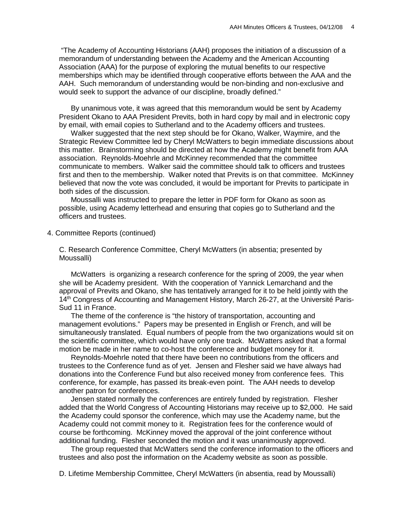"The Academy of Accounting Historians (AAH) proposes the initiation of a discussion of a memorandum of understanding between the Academy and the American Accounting Association (AAA) for the purpose of exploring the mutual benefits to our respective memberships which may be identified through cooperative efforts between the AAA and the AAH. Such memorandum of understanding would be non-binding and non-exclusive and would seek to support the advance of our discipline, broadly defined."

By unanimous vote, it was agreed that this memorandum would be sent by Academy President Okano to AAA President Previts, both in hard copy by mail and in electronic copy by email, with email copies to Sutherland and to the Academy officers and trustees.

Walker suggested that the next step should be for Okano, Walker, Waymire, and the Strategic Review Committee led by Cheryl McWatters to begin immediate discussions about this matter. Brainstorming should be directed at how the Academy might benefit from AAA association. Reynolds-Moehrle and McKinney recommended that the committee communicate to members. Walker said the committee should talk to officers and trustees first and then to the membership. Walker noted that Previts is on that committee. McKinney believed that now the vote was concluded, it would be important for Previts to participate in both sides of the discussion.

Moussalli was instructed to prepare the letter in PDF form for Okano as soon as possible, using Academy letterhead and ensuring that copies go to Sutherland and the officers and trustees.

4. Committee Reports (continued)

C. Research Conference Committee, Cheryl McWatters (in absentia; presented by Moussalli)

McWatters is organizing a research conference for the spring of 2009, the year when she will be Academy president. With the cooperation of Yannick Lemarchand and the approval of Previts and Okano, she has tentatively arranged for it to be held jointly with the 14th Congress of Accounting and Management History, March 26-27, at the Université Paris-Sud 11 in France.

The theme of the conference is "the history of transportation, accounting and management evolutions." Papers may be presented in English or French, and will be simultaneously translated. Equal numbers of people from the two organizations would sit on the scientific committee, which would have only one track. McWatters asked that a formal motion be made in her name to co-host the conference and budget money for it.

Reynolds-Moehrle noted that there have been no contributions from the officers and trustees to the Conference fund as of yet. Jensen and Flesher said we have always had donations into the Conference Fund but also received money from conference fees. This conference, for example, has passed its break-even point. The AAH needs to develop another patron for conferences.

Jensen stated normally the conferences are entirely funded by registration. Flesher added that the World Congress of Accounting Historians may receive up to \$2,000. He said the Academy could sponsor the conference, which may use the Academy name, but the Academy could not commit money to it. Registration fees for the conference would of course be forthcoming. McKinney moved the approval of the joint conference without additional funding. Flesher seconded the motion and it was unanimously approved.

The group requested that McWatters send the conference information to the officers and trustees and also post the information on the Academy website as soon as possible.

D. Lifetime Membership Committee, Cheryl McWatters (in absentia, read by Moussalli)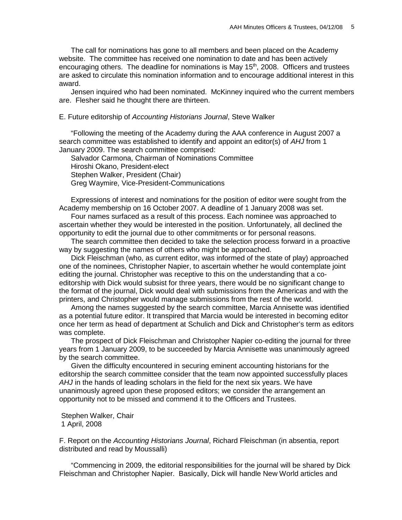The call for nominations has gone to all members and been placed on the Academy website. The committee has received one nomination to date and has been actively encouraging others. The deadline for nominations is May  $15<sup>th</sup>$ , 2008. Officers and trustees are asked to circulate this nomination information and to encourage additional interest in this award.

Jensen inquired who had been nominated. McKinney inquired who the current members are. Flesher said he thought there are thirteen.

#### E. Future editorship of *Accounting Historians Journal*, Steve Walker

"Following the meeting of the Academy during the AAA conference in August 2007 a search committee was established to identify and appoint an editor(s) of *AHJ* from 1 January 2009. The search committee comprised:

Salvador Carmona, Chairman of Nominations Committee Hiroshi Okano, President-elect Stephen Walker, President (Chair) Greg Waymire, Vice-President-Communications

Expressions of interest and nominations for the position of editor were sought from the Academy membership on 16 October 2007. A deadline of 1 January 2008 was set.

Four names surfaced as a result of this process. Each nominee was approached to ascertain whether they would be interested in the position. Unfortunately, all declined the opportunity to edit the journal due to other commitments or for personal reasons.

The search committee then decided to take the selection process forward in a proactive way by suggesting the names of others who might be approached.

Dick Fleischman (who, as current editor, was informed of the state of play) approached one of the nominees, Christopher Napier, to ascertain whether he would contemplate joint editing the journal. Christopher was receptive to this on the understanding that a coeditorship with Dick would subsist for three years, there would be no significant change to the format of the journal, Dick would deal with submissions from the Americas and with the printers, and Christopher would manage submissions from the rest of the world.

Among the names suggested by the search committee, Marcia Annisette was identified as a potential future editor. It transpired that Marcia would be interested in becoming editor once her term as head of department at Schulich and Dick and Christopher's term as editors was complete.

The prospect of Dick Fleischman and Christopher Napier co-editing the journal for three years from 1 January 2009, to be succeeded by Marcia Annisette was unanimously agreed by the search committee.

Given the difficulty encountered in securing eminent accounting historians for the editorship the search committee consider that the team now appointed successfully places *AHJ* in the hands of leading scholars in the field for the next six years. We have unanimously agreed upon these proposed editors; we consider the arrangement an opportunity not to be missed and commend it to the Officers and Trustees.

Stephen Walker, Chair 1 April, 2008

F. Report on the *Accounting Historians Journal*, Richard Fleischman (in absentia, report distributed and read by Moussalli)

"Commencing in 2009, the editorial responsibilities for the journal will be shared by Dick Fleischman and Christopher Napier. Basically, Dick will handle New World articles and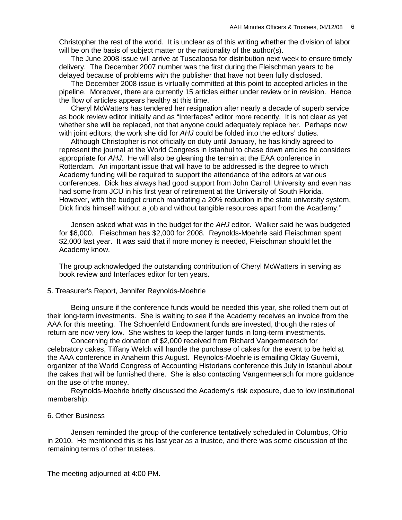Christopher the rest of the world. It is unclear as of this writing whether the division of labor will be on the basis of subject matter or the nationality of the author(s).

The June 2008 issue will arrive at Tuscaloosa for distribution next week to ensure timely delivery. The December 2007 number was the first during the Fleischman years to be delayed because of problems with the publisher that have not been fully disclosed.

The December 2008 issue is virtually committed at this point to accepted articles in the pipeline. Moreover, there are currently 15 articles either under review or in revision. Hence the flow of articles appears healthy at this time.

Cheryl McWatters has tendered her resignation after nearly a decade of superb service as book review editor initially and as "Interfaces" editor more recently. It is not clear as yet whether she will be replaced, not that anyone could adequately replace her. Perhaps now with joint editors, the work she did for *AHJ* could be folded into the editors' duties.

Although Christopher is not officially on duty until January, he has kindly agreed to represent the journal at the World Congress in Istanbul to chase down articles he considers appropriate for *AHJ*. He will also be gleaning the terrain at the EAA conference in Rotterdam. An important issue that will have to be addressed is the degree to which Academy funding will be required to support the attendance of the editors at various conferences. Dick has always had good support from John Carroll University and even has had some from JCU in his first year of retirement at the University of South Florida. However, with the budget crunch mandating a 20% reduction in the state university system, Dick finds himself without a job and without tangible resources apart from the Academy."

Jensen asked what was in the budget for the *AHJ* editor. Walker said he was budgeted for \$6,000. Fleischman has \$2,000 for 2008. Reynolds-Moehrle said Fleischman spent \$2,000 last year. It was said that if more money is needed, Fleischman should let the Academy know.

The group acknowledged the outstanding contribution of Cheryl McWatters in serving as book review and Interfaces editor for ten years.

# 5. Treasurer's Report, Jennifer Reynolds-Moehrle

Being unsure if the conference funds would be needed this year, she rolled them out of their long-term investments. She is waiting to see if the Academy receives an invoice from the AAA for this meeting. The Schoenfeld Endowment funds are invested, though the rates of return are now very low. She wishes to keep the larger funds in long-term investments.

Concerning the donation of \$2,000 received from Richard Vangermeersch for celebratory cakes, Tiffany Welch will handle the purchase of cakes for the event to be held at the AAA conference in Anaheim this August. Reynolds-Moehrle is emailing Oktay Guvemli, organizer of the World Congress of Accounting Historians conference this July in Istanbul about the cakes that will be furnished there. She is also contacting Vangermeersch for more guidance on the use of trhe money.

Reynolds-Moehrle briefly discussed the Academy's risk exposure, due to low institutional membership.

### 6. Other Business

Jensen reminded the group of the conference tentatively scheduled in Columbus, Ohio in 2010. He mentioned this is his last year as a trustee, and there was some discussion of the remaining terms of other trustees.

The meeting adjourned at 4:00 PM.